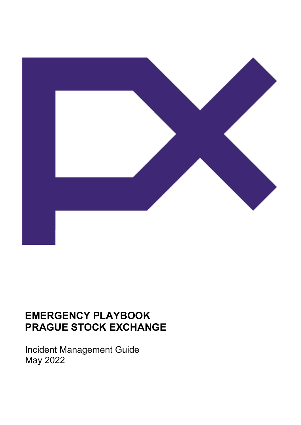

# **EMERGENCY PLAYBOOK PRAGUE STOCK EXCHANGE**

Incident Management Guide May 2022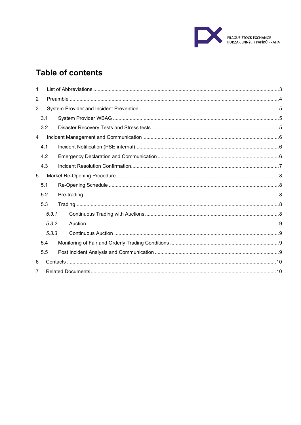

## **Table of contents**

| 1     |       |  |  |  |  |
|-------|-------|--|--|--|--|
| 2     |       |  |  |  |  |
| 3     |       |  |  |  |  |
|       | 3.1   |  |  |  |  |
|       | 3.2   |  |  |  |  |
| 4     |       |  |  |  |  |
|       | 4.1   |  |  |  |  |
|       | 4.2   |  |  |  |  |
|       | 4.3   |  |  |  |  |
| 5     |       |  |  |  |  |
|       | 5.1   |  |  |  |  |
|       | 5.2   |  |  |  |  |
|       | 5.3   |  |  |  |  |
|       | 5.3.1 |  |  |  |  |
|       | 5.3.2 |  |  |  |  |
| 5.3.3 |       |  |  |  |  |
|       | 5.4   |  |  |  |  |
|       | 5.5   |  |  |  |  |
| 6     |       |  |  |  |  |
| 7     |       |  |  |  |  |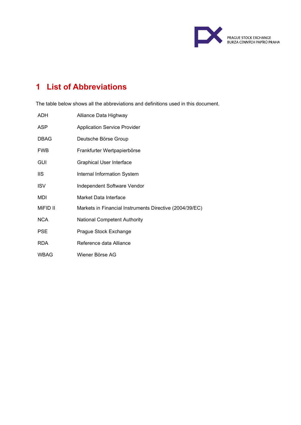

## <span id="page-2-0"></span>**1 List of Abbreviations**

The table below shows all the abbreviations and definitions used in this document.

| ADH.        | Alliance Data Highway                                   |
|-------------|---------------------------------------------------------|
| <b>ASP</b>  | <b>Application Service Provider</b>                     |
| <b>DBAG</b> | Deutsche Börse Group                                    |
| <b>FWB</b>  | Frankfurter Wertpapierbörse                             |
| GUI         | <b>Graphical User Interface</b>                         |
| <b>IIS</b>  | Internal Information System                             |
| <b>ISV</b>  | Independent Software Vendor                             |
| <b>MDI</b>  | Market Data Interface                                   |
| MiFID II    | Markets in Financial Instruments Directive (2004/39/EC) |
| <b>NCA</b>  | <b>National Competent Authority</b>                     |
| <b>PSE</b>  | Prague Stock Exchange                                   |
| <b>RDA</b>  | Reference data Alliance                                 |
| <b>WBAG</b> | Wiener Börse AG                                         |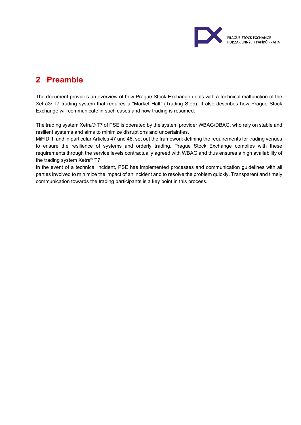

### <span id="page-3-0"></span>**2 Preamble**

The document provides an overview of how Prague Stock Exchange deals with a technical malfunction of the Xetra® T7 trading system that requires a "Market Halt" (Trading Stop). It also describes how Prague Stock Exchange will communicate in such cases and how trading is resumed.

The trading system Xetra® T7 of PSE is operated by the system provider WBAG/DBAG, who rely on stable and resilient systems and aims to minimize disruptions and uncertainties.

MiFID II, and in particular Articles 47 and 48, set out the framework defining the requirements for trading venues to ensure the resilience of systems and orderly trading. Prague Stock Exchange complies with these requirements through the service levels contractually agreed with WBAG and thus ensures a high availability of the trading system Xetra**®** T7.

In the event of a technical incident, PSE has implemented processes and communication guidelines with all parties involved to minimize the impact of an incident and to resolve the problem quickly. Transparent and timely communication towards the trading participants is a key point in this process.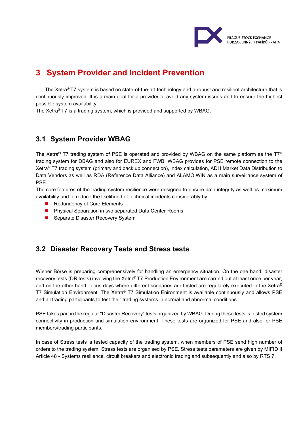

## <span id="page-4-0"></span>**3 System Provider and Incident Prevention**

The Xetra® T7 system is based on state-of-the-art technology and a robust and resilient architecture that is continuously improved. It is a main goal for a provider to avoid any system issues and to ensure the highest possible system availability.

The Xetra® T7 is a trading system, which is provided and supported by WBAG.

#### <span id="page-4-1"></span>**3.1 System Provider WBAG**

The Xetra**®** T7 trading system of PSE is operated and provided by WBAG on the same platform as the T7**®** trading system for DBAG and also for EUREX and FWB. WBAG provides for PSE remote connection to the Xetra**®** T7 trading system (primary and back up connection), index calculation, ADH Market Data Distribution to Data Vendors as well as RDA (Reference Data Alliance) and ALAMO.WIN as a main surveillance system of PSE.

The core features of the trading system resilience were designed to ensure data integrity as well as maximum availability and to reduce the likelihood of technical incidents considerably by

- Redundency of Core Elements
- **Physical Separation in two separated Data Center Rooms**
- Separate Disaster Recovery System

#### <span id="page-4-2"></span>**3.2 Disaster Recovery Tests and Stress tests**

Wiener Börse is preparing comprehensively for handling an emergency situation. On the one hand, disaster recovery tests (DR tests) involving the Xetra® T7 Production Environment are carried out at least once per year, and on the other hand, focus days where different scenarios are tested are regularely executed in the Xetra® T7 Simulation Environment. The Xetra® T7 Simulation Enironment is available continuously and allows PSE and all trading participants to test their trading systems in normal and abnormal conditions.

PSE takes part in the regular "Disaster Recovery" tests organized by WBAG. During these tests is tested system connectivity in production and simulation environment. These tests are organized for PSE and also for PSE members/trading participants.

In case of Stress tests is tested capacity of the trading system, when members of PSE send high number of orders to the trading system. Stress tests are organised by PSE. Stress tests parameters are given by MIFID II Article 48 - Systems resilience, circuit breakers and electronic trading and subsequently and also by RTS 7.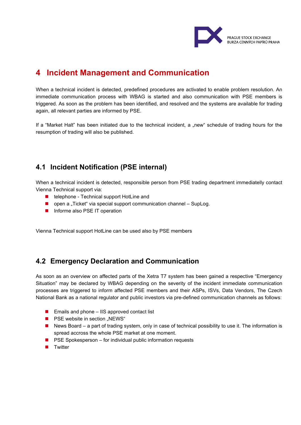

### <span id="page-5-0"></span>**4 Incident Management and Communication**

When a technical incident is detected, predefined procedures are activated to enable problem resolution. An immediate communication process with WBAG is started and also communication with PSE members is triggered. As soon as the problem has been identified, and resolved and the systems are available for trading again, all relevant parties are informed by PSE.

If a "Market Halt" has been initiated due to the technical incident, a "new" schedule of trading hours for the resumption of trading will also be published.

### <span id="page-5-1"></span>**4.1 Incident Notification (PSE internal)**

When a technical incident is detected, responsible person from PSE trading department immediatelly contact Vienna Technical support via:

- telephone Technical support HotLine and
- $\Box$  open a "Ticket" via special support communication channel SupLog.
- **Informe also PSE IT operation**

Vienna Technical support HotLine can be used also by PSE members

#### <span id="page-5-2"></span>**4.2 Emergency Declaration and Communication**

As soon as an overview on affected parts of the Xetra T7 system has been gained a respective "Emergency Situation" may be declared by WBAG depending on the severity of the incident immediate communication processes are triggered to inform affected PSE members and their ASPs, ISVs, Data Vendors, The Czech National Bank as a national regulator and public investors via pre-defined communication channels as follows:

- Emails and phone IIS approved contact list
- **PSE** website in section "NEWS"
- News Board a part of trading system, only in case of technical possibility to use it. The information is spread accross the whole PSE market at one moment.
- $\blacksquare$  PSE Spokesperson for individual public information requests
- **Twitter**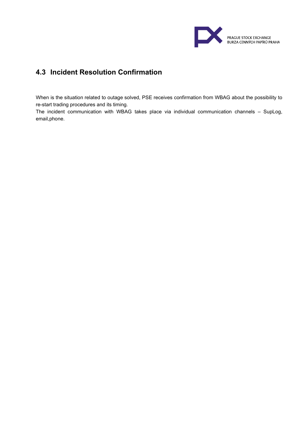

### <span id="page-6-0"></span>**4.3 Incident Resolution Confirmation**

When is the situation related to outage solved, PSE receives confirmation from WBAG about the possibility to re-start trading procedures and its timing.

The incident communication with WBAG takes place via individual communication channels – SupLog, email,phone.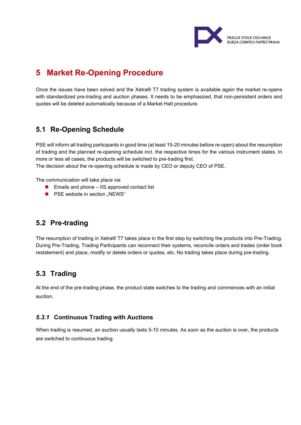

## <span id="page-7-0"></span>**5 Market Re-Opening Procedure**

Once the issues have been solved and the Xetra® T7 trading system is available again the market re-opens with standardized pre-trading and auction phases. It needs to be emphasized, that non-persistent orders and quotes will be deleted automatically because of a Market Halt procedure.

#### <span id="page-7-1"></span>**5.1 Re-Opening Schedule**

PSE will inform all trading participants in good time (at least 15-20 minutes before re-open) about the resumption of trading and the planned re-opening schedule incl. the respective times for the various instrument states. In more or less all cases, the products will be switched to pre-trading first.

The decision about the re-opening schedule is made by CEO or deputy CEO of PSE.

The communication will take place via

- $\blacksquare$  Emails and phone IIS approved contact list
- **PSE** website in section "NEWS"

#### <span id="page-7-2"></span>**5.2 Pre-trading**

The resumption of trading in Xetra® T7 takes place in the first step by switching the products into Pre-Trading. During Pre-Trading, Trading Participants can reconnect their systems, reconcile orders and trades (order book restatement) and place, modify or delete orders or quotes, etc. No trading takes place during pre-trading.

#### <span id="page-7-3"></span>**5.3 Trading**

At the end of the pre-trading phase, the product state switches to the trading and commences with an initial auction.

#### <span id="page-7-4"></span>*5.3.1* **Continuous Trading with Auctions**

When trading is resumed, an auction usually lasts 5-10 minutes. As soon as the auction is over, the products are switched to continuous trading.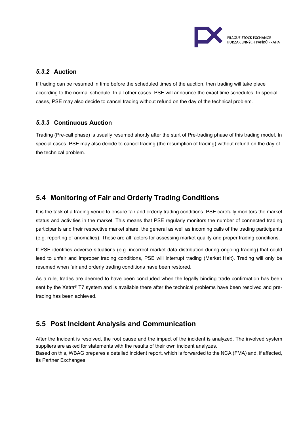

#### <span id="page-8-0"></span>*5.3.2* **Auction**

If trading can be resumed in time before the scheduled times of the auction, then trading will take place according to the normal schedule. In all other cases, PSE will announce the exact time schedules. In special cases, PSE may also decide to cancel trading without refund on the day of the technical problem.

#### <span id="page-8-1"></span>*5.3.3* **Continuous Auction**

Trading (Pre-call phase) is usually resumed shortly after the start of Pre-trading phase of this trading model. In special cases, PSE may also decide to cancel trading (the resumption of trading) without refund on the day of the technical problem.

### <span id="page-8-2"></span>**5.4 Monitoring of Fair and Orderly Trading Conditions**

It is the task of a trading venue to ensure fair and orderly trading conditions. PSE carefully monitors the market status and activities in the market. This means that PSE regularly monitors the number of connected trading participants and their respective market share, the general as well as incoming calls of the trading participants (e.g. reporting of anomalies). These are all factors for assessing market quality and proper trading conditions.

If PSE identifies adverse situations (e.g. incorrect market data distribution during ongoing trading) that could lead to unfair and improper trading conditions, PSE will interrupt trading (Market Halt). Trading will only be resumed when fair and orderly trading conditions have been restored.

As a rule, trades are deemed to have been concluded when the legally binding trade confirmation has been sent by the Xetra® T7 system and is available there after the technical problems have been resolved and pretrading has been achieved.

### <span id="page-8-3"></span>**5.5 Post Incident Analysis and Communication**

After the Incident is resolved, the root cause and the impact of the incident is analyzed. The involved system suppliers are asked for statements with the results of their own incident analyzes. Based on this, WBAG prepares a detailed incident report, which is forwarded to the NCA (FMA) and, if affected, its Partner Exchanges.